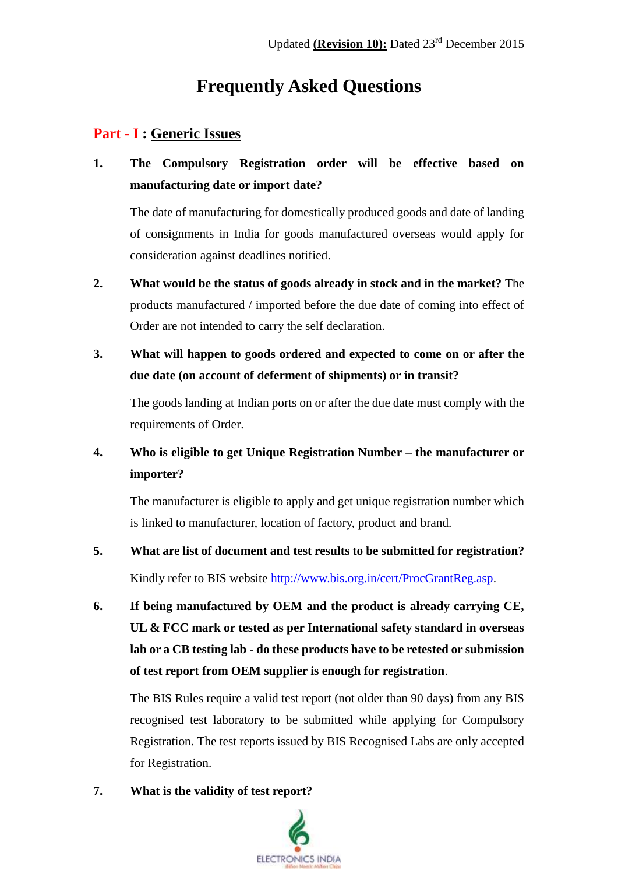# **Frequently Asked Questions**

#### **Part - I : Generic Issues**

**1. The Compulsory Registration order will be effective based on manufacturing date or import date?**

The date of manufacturing for domestically produced goods and date of landing of consignments in India for goods manufactured overseas would apply for consideration against deadlines notified.

- **2. What would be the status of goods already in stock and in the market?** The products manufactured / imported before the due date of coming into effect of Order are not intended to carry the self declaration.
- **3. What will happen to goods ordered and expected to come on or after the due date (on account of deferment of shipments) or in transit?**

The goods landing at Indian ports on or after the due date must comply with the requirements of Order.

### **4. Who is eligible to get Unique Registration Number – the manufacturer or importer?**

The manufacturer is eligible to apply and get unique registration number which is linked to manufacturer, location of factory, product and brand.

- **5. What are list of document and test results to be submitted for registration?** Kindly refer to BIS website [http://www.bis.org.in/cert/ProcGrantReg.asp.](http://www.bis.org.in/cert/ProcGrantReg.asp)
- **6. If being manufactured by OEM and the product is already carrying CE, UL & FCC mark or tested as per International safety standard in overseas lab or a CB testing lab - do these products have to be retested or submission of test report from OEM supplier is enough for registration**.

The BIS Rules require a valid test report (not older than 90 days) from any BIS recognised test laboratory to be submitted while applying for Compulsory Registration. The test reports issued by BIS Recognised Labs are only accepted for Registration.

**7. What is the validity of test report?**

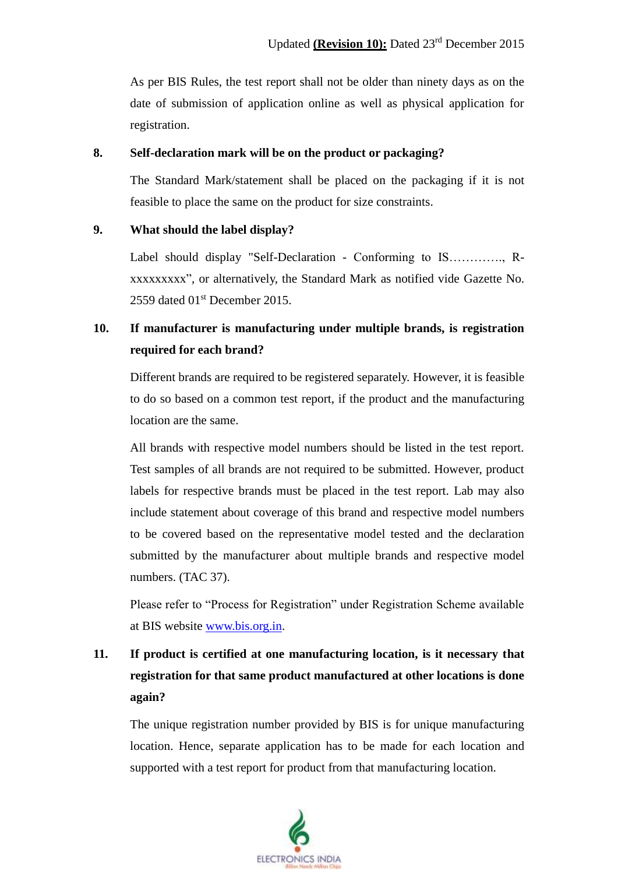As per BIS Rules, the test report shall not be older than ninety days as on the date of submission of application online as well as physical application for registration.

#### **8. Self-declaration mark will be on the product or packaging?**

The Standard Mark/statement shall be placed on the packaging if it is not feasible to place the same on the product for size constraints.

#### **9. What should the label display?**

Label should display "Self-Declaration - Conforming to IS…………., Rxxxxxxxxx", or alternatively, the Standard Mark as notified vide Gazette No. 2559 dated 01<sup>st</sup> December 2015.

## **10. If manufacturer is manufacturing under multiple brands, is registration required for each brand?**

Different brands are required to be registered separately. However, it is feasible to do so based on a common test report, if the product and the manufacturing location are the same.

All brands with respective model numbers should be listed in the test report. Test samples of all brands are not required to be submitted. However, product labels for respective brands must be placed in the test report. Lab may also include statement about coverage of this brand and respective model numbers to be covered based on the representative model tested and the declaration submitted by the manufacturer about multiple brands and respective model numbers. (TAC 37).

Please refer to "Process for Registration" under Registration Scheme available at BIS website [www.bis.org.in.](http://www.bis.org.in/)

# **11. If product is certified at one manufacturing location, is it necessary that registration for that same product manufactured at other locations is done again?**

The unique registration number provided by BIS is for unique manufacturing location. Hence, separate application has to be made for each location and supported with a test report for product from that manufacturing location.

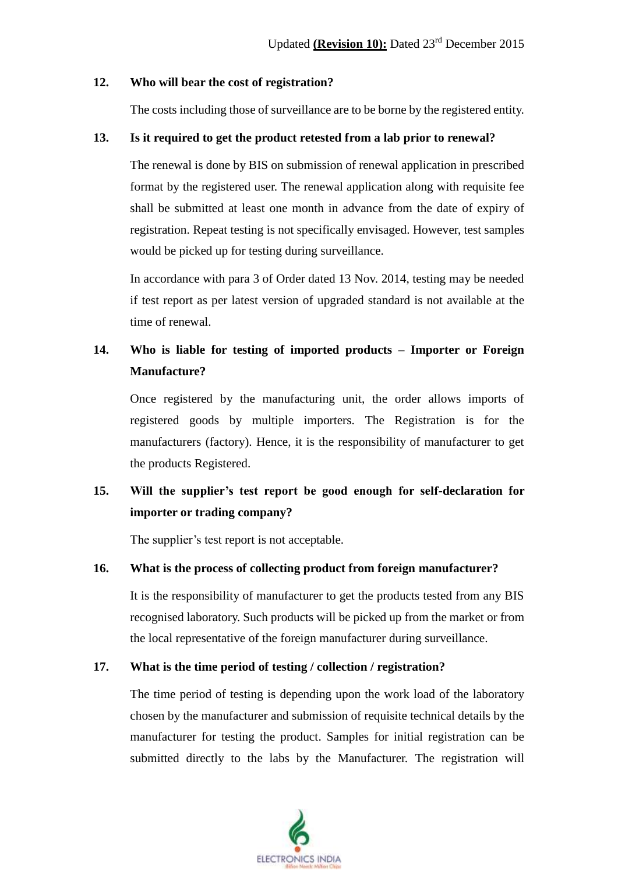#### **12. Who will bear the cost of registration?**

The costs including those of surveillance are to be borne by the registered entity.

#### **13. Is it required to get the product retested from a lab prior to renewal?**

The renewal is done by BIS on submission of renewal application in prescribed format by the registered user. The renewal application along with requisite fee shall be submitted at least one month in advance from the date of expiry of registration. Repeat testing is not specifically envisaged. However, test samples would be picked up for testing during surveillance.

In accordance with para 3 of Order dated 13 Nov. 2014, testing may be needed if test report as per latest version of upgraded standard is not available at the time of renewal.

### **14. Who is liable for testing of imported products – Importer or Foreign Manufacture?**

Once registered by the manufacturing unit, the order allows imports of registered goods by multiple importers. The Registration is for the manufacturers (factory). Hence, it is the responsibility of manufacturer to get the products Registered.

## **15. Will the supplier's test report be good enough for self-declaration for importer or trading company?**

The supplier's test report is not acceptable.

#### **16. What is the process of collecting product from foreign manufacturer?**

It is the responsibility of manufacturer to get the products tested from any BIS recognised laboratory. Such products will be picked up from the market or from the local representative of the foreign manufacturer during surveillance.

#### **17. What is the time period of testing / collection / registration?**

The time period of testing is depending upon the work load of the laboratory chosen by the manufacturer and submission of requisite technical details by the manufacturer for testing the product. Samples for initial registration can be submitted directly to the labs by the Manufacturer. The registration will

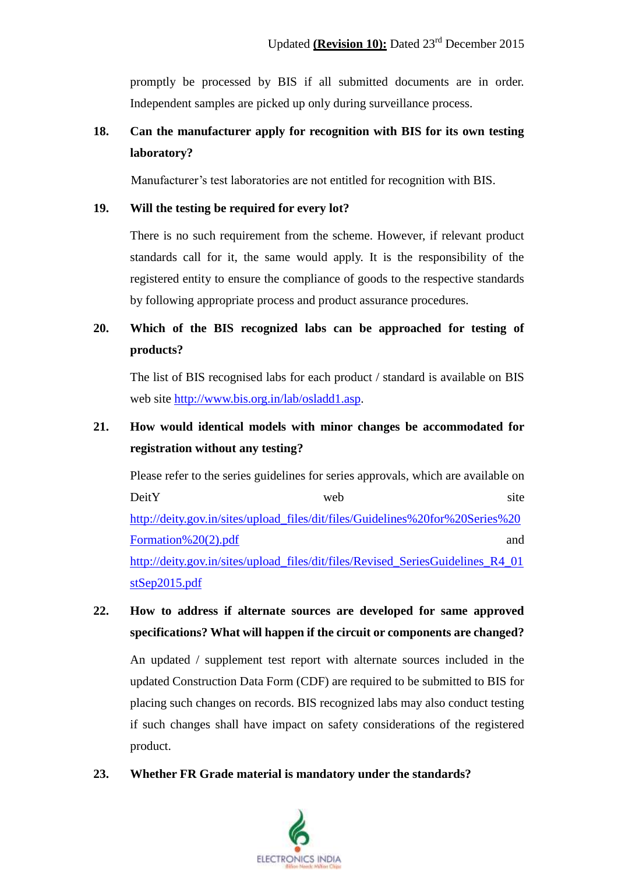promptly be processed by BIS if all submitted documents are in order. Independent samples are picked up only during surveillance process.

## **18. Can the manufacturer apply for recognition with BIS for its own testing laboratory?**

Manufacturer's test laboratories are not entitled for recognition with BIS.

#### **19. Will the testing be required for every lot?**

There is no such requirement from the scheme. However, if relevant product standards call for it, the same would apply. It is the responsibility of the registered entity to ensure the compliance of goods to the respective standards by following appropriate process and product assurance procedures.

## **20. Which of the BIS recognized labs can be approached for testing of products?**

The list of BIS recognised labs for each product / standard is available on BIS web site http://www.bis.org.in/lab/osladd1.asp.

## **21. How would identical models with minor changes be accommodated for registration without any testing?**

Please refer to the series guidelines for series approvals, which are available on DeitY web site http://deity.gov.in/sites/upload\_files/dit/files/Guidelines%20for%20Series%20 Formation%20(2).pdf and [http://deity.gov.in/sites/upload\\_files/dit/files/Revised\\_SeriesGuidelines\\_R4\\_01](http://deity.gov.in/sites/upload_files/dit/files/Revised_SeriesGuidelines_R4_01stSep2015.pdf) [stSep2015.pdf](http://deity.gov.in/sites/upload_files/dit/files/Revised_SeriesGuidelines_R4_01stSep2015.pdf)

## **22. How to address if alternate sources are developed for same approved specifications? What will happen if the circuit or components are changed?**

An updated / supplement test report with alternate sources included in the updated Construction Data Form (CDF) are required to be submitted to BIS for placing such changes on records. BIS recognized labs may also conduct testing if such changes shall have impact on safety considerations of the registered product.

#### **23. Whether FR Grade material is mandatory under the standards?**

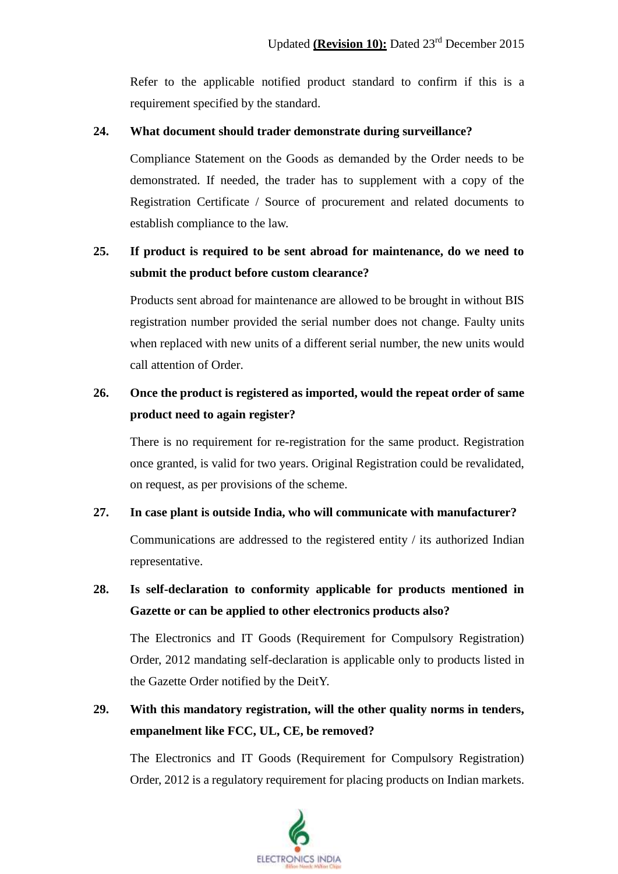Refer to the applicable notified product standard to confirm if this is a requirement specified by the standard.

#### **24. What document should trader demonstrate during surveillance?**

Compliance Statement on the Goods as demanded by the Order needs to be demonstrated. If needed, the trader has to supplement with a copy of the Registration Certificate / Source of procurement and related documents to establish compliance to the law.

### **25. If product is required to be sent abroad for maintenance, do we need to submit the product before custom clearance?**

Products sent abroad for maintenance are allowed to be brought in without BIS registration number provided the serial number does not change. Faulty units when replaced with new units of a different serial number, the new units would call attention of Order.

## **26. Once the product is registered as imported, would the repeat order of same product need to again register?**

There is no requirement for re-registration for the same product. Registration once granted, is valid for two years. Original Registration could be revalidated, on request, as per provisions of the scheme.

#### **27. In case plant is outside India, who will communicate with manufacturer?**

Communications are addressed to the registered entity / its authorized Indian representative.

### **28. Is self-declaration to conformity applicable for products mentioned in Gazette or can be applied to other electronics products also?**

The Electronics and IT Goods (Requirement for Compulsory Registration) Order, 2012 mandating self-declaration is applicable only to products listed in the Gazette Order notified by the DeitY.

## **29. With this mandatory registration, will the other quality norms in tenders, empanelment like FCC, UL, CE, be removed?**

The Electronics and IT Goods (Requirement for Compulsory Registration) Order, 2012 is a regulatory requirement for placing products on Indian markets.

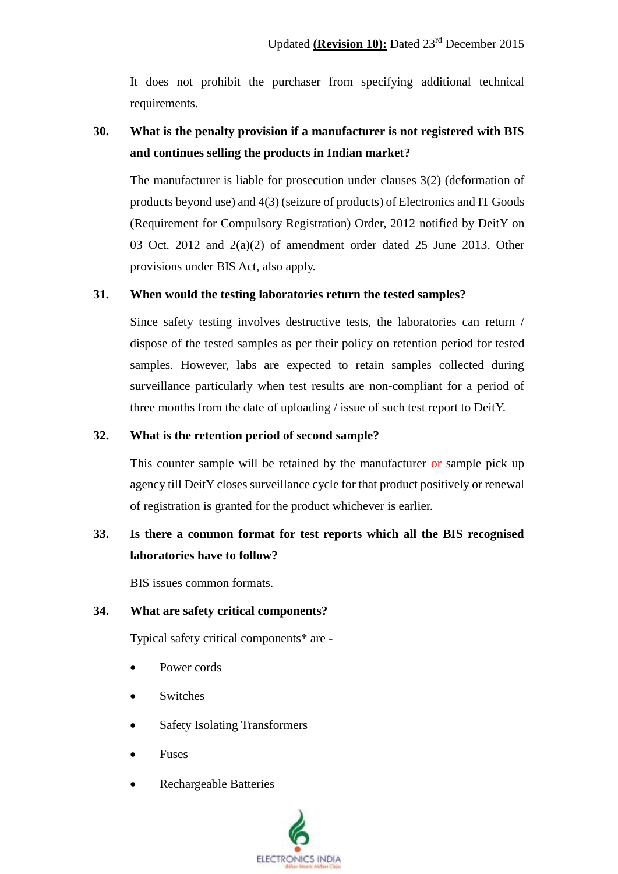It does not prohibit the purchaser from specifying additional technical requirements.

## **30. What is the penalty provision if a manufacturer is not registered with BIS and continues selling the products in Indian market?**

The manufacturer is liable for prosecution under clauses 3(2) (deformation of products beyond use) and 4(3) (seizure of products) of Electronics and IT Goods (Requirement for Compulsory Registration) Order, 2012 notified by DeitY on 03 Oct. 2012 and  $2(a)(2)$  of amendment order dated 25 June 2013. Other provisions under BIS Act, also apply.

#### **31. When would the testing laboratories return the tested samples?**

Since safety testing involves destructive tests, the laboratories can return / dispose of the tested samples as per their policy on retention period for tested samples. However, labs are expected to retain samples collected during surveillance particularly when test results are non-compliant for a period of three months from the date of uploading / issue of such test report to DeitY.

#### **32. What is the retention period of second sample?**

This counter sample will be retained by the manufacturer or sample pick up agency till DeitY closes surveillance cycle for that product positively or renewal of registration is granted for the product whichever is earlier.

### **33. Is there a common format for test reports which all the BIS recognised laboratories have to follow?**

BIS issues common formats.

#### **34. What are safety critical components?**

Typical safety critical components\* are -

- Power cords
- Switches
- Safety Isolating Transformers
- Fuses
- Rechargeable Batteries

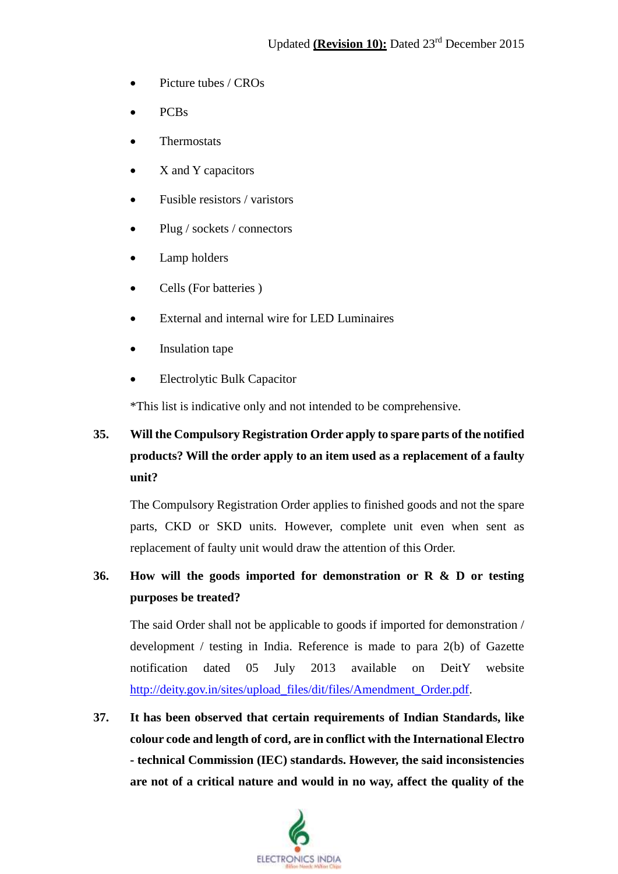- Picture tubes / CROs
- PCBs
- Thermostats
- X and Y capacitors
- Fusible resistors / varistors
- Plug / sockets / connectors
- Lamp holders
- Cells (For batteries)
- External and internal wire for LED Luminaires
- Insulation tape
- Electrolytic Bulk Capacitor

\*This list is indicative only and not intended to be comprehensive.

# **35. Will the Compulsory Registration Order apply to spare parts of the notified products? Will the order apply to an item used as a replacement of a faulty unit?**

The Compulsory Registration Order applies to finished goods and not the spare parts, CKD or SKD units. However, complete unit even when sent as replacement of faulty unit would draw the attention of this Order.

## **36. How will the goods imported for demonstration or R & D or testing purposes be treated?**

The said Order shall not be applicable to goods if imported for demonstration / development / testing in India. Reference is made to para 2(b) of Gazette notification dated 05 July 2013 available on DeitY website http://deity.gov.in/sites/upload\_files/dit/files/Amendment\_Order.pdf.

**37. It has been observed that certain requirements of Indian Standards, like colour code and length of cord, are in conflict with the International Electro - technical Commission (IEC) standards. However, the said inconsistencies are not of a critical nature and would in no way, affect the quality of the** 

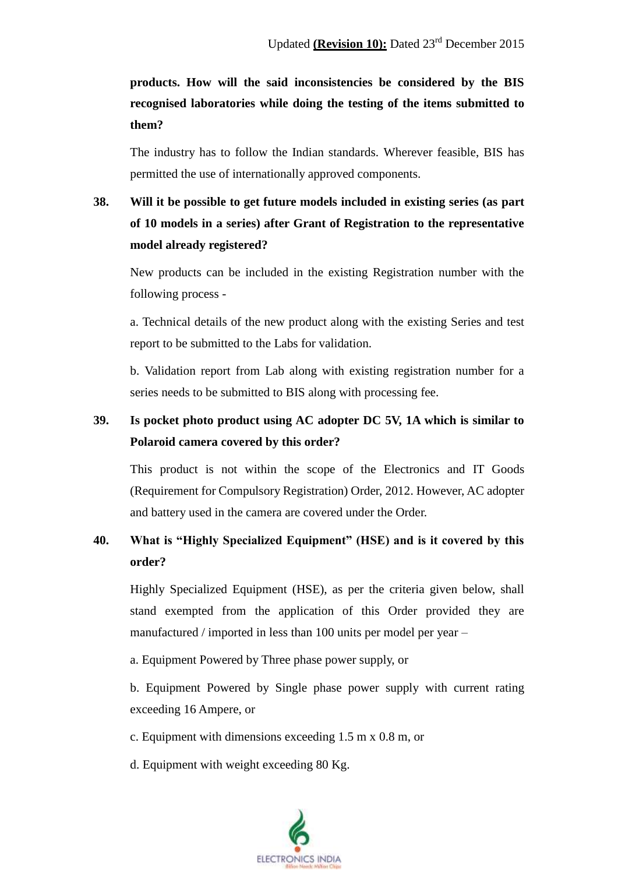# **products. How will the said inconsistencies be considered by the BIS recognised laboratories while doing the testing of the items submitted to them?**

The industry has to follow the Indian standards. Wherever feasible, BIS has permitted the use of internationally approved components.

# **38. Will it be possible to get future models included in existing series (as part of 10 models in a series) after Grant of Registration to the representative model already registered?**

New products can be included in the existing Registration number with the following process -

a. Technical details of the new product along with the existing Series and test report to be submitted to the Labs for validation.

b. Validation report from Lab along with existing registration number for a series needs to be submitted to BIS along with processing fee.

## **39. Is pocket photo product using AC adopter DC 5V, 1A which is similar to Polaroid camera covered by this order?**

This product is not within the scope of the Electronics and IT Goods (Requirement for Compulsory Registration) Order, 2012. However, AC adopter and battery used in the camera are covered under the Order.

### **40. What is "Highly Specialized Equipment" (HSE) and is it covered by this order?**

Highly Specialized Equipment (HSE), as per the criteria given below, shall stand exempted from the application of this Order provided they are manufactured / imported in less than 100 units per model per year –

a. Equipment Powered by Three phase power supply, or

b. Equipment Powered by Single phase power supply with current rating exceeding 16 Ampere, or

c. Equipment with dimensions exceeding 1.5 m x 0.8 m, or

d. Equipment with weight exceeding 80 Kg.

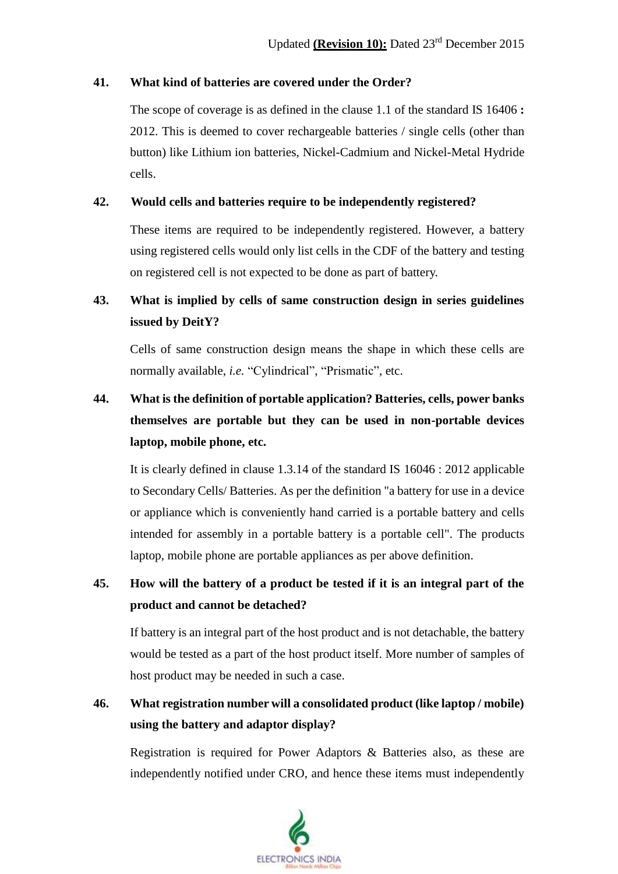#### **41. What kind of batteries are covered under the Order?**

The scope of coverage is as defined in the clause 1.1 of the standard IS 16406 **:** 2012. This is deemed to cover rechargeable batteries / single cells (other than button) like Lithium ion batteries, Nickel-Cadmium and Nickel-Metal Hydride cells.

#### **42. Would cells and batteries require to be independently registered?**

These items are required to be independently registered. However, a battery using registered cells would only list cells in the CDF of the battery and testing on registered cell is not expected to be done as part of battery.

## **43. What is implied by cells of same construction design in series guidelines issued by DeitY?**

Cells of same construction design means the shape in which these cells are normally available, *i.e.* "Cylindrical", "Prismatic", etc.

# **44. What is the definition of portable application? Batteries, cells, power banks themselves are portable but they can be used in non-portable devices laptop, mobile phone, etc.**

It is clearly defined in clause 1.3.14 of the standard IS 16046 : 2012 applicable to Secondary Cells/ Batteries. As per the definition "a battery for use in a device or appliance which is conveniently hand carried is a portable battery and cells intended for assembly in a portable battery is a portable cell". The products laptop, mobile phone are portable appliances as per above definition.

### **45. How will the battery of a product be tested if it is an integral part of the product and cannot be detached?**

If battery is an integral part of the host product and is not detachable, the battery would be tested as a part of the host product itself. More number of samples of host product may be needed in such a case.

## **46. What registration number will a consolidated product (like laptop / mobile) using the battery and adaptor display?**

Registration is required for Power Adaptors & Batteries also, as these are independently notified under CRO, and hence these items must independently

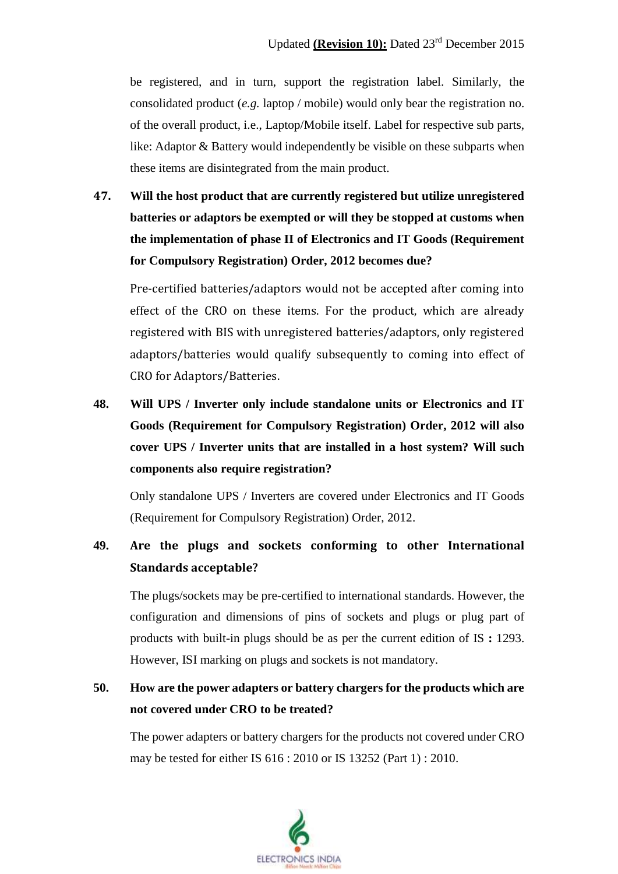be registered, and in turn, support the registration label. Similarly, the consolidated product (*e.g.* laptop / mobile) would only bear the registration no. of the overall product, i.e., Laptop/Mobile itself. Label for respective sub parts, like: Adaptor & Battery would independently be visible on these subparts when these items are disintegrated from the main product.

**47. Will the host product that are currently registered but utilize unregistered batteries or adaptors be exempted or will they be stopped at customs when the implementation of phase II of Electronics and IT Goods (Requirement for Compulsory Registration) Order, 2012 becomes due?**

Pre-certified batteries/adaptors would not be accepted after coming into effect of the CRO on these items. For the product, which are already registered with BIS with unregistered batteries/adaptors, only registered adaptors/batteries would qualify subsequently to coming into effect of CRO for Adaptors/Batteries.

**48. Will UPS / Inverter only include standalone units or Electronics and IT Goods (Requirement for Compulsory Registration) Order, 2012 will also cover UPS / Inverter units that are installed in a host system? Will such components also require registration?**

Only standalone UPS / Inverters are covered under Electronics and IT Goods (Requirement for Compulsory Registration) Order, 2012.

## **49. Are the plugs and sockets conforming to other International Standards acceptable?**

The plugs/sockets may be pre-certified to international standards. However, the configuration and dimensions of pins of sockets and plugs or plug part of products with built-in plugs should be as per the current edition of IS **:** 1293. However, ISI marking on plugs and sockets is not mandatory.

## **50. How are the power adapters or battery chargers for the products which are not covered under CRO to be treated?**

The power adapters or battery chargers for the products not covered under CRO may be tested for either IS 616 : 2010 or IS 13252 (Part 1) : 2010.

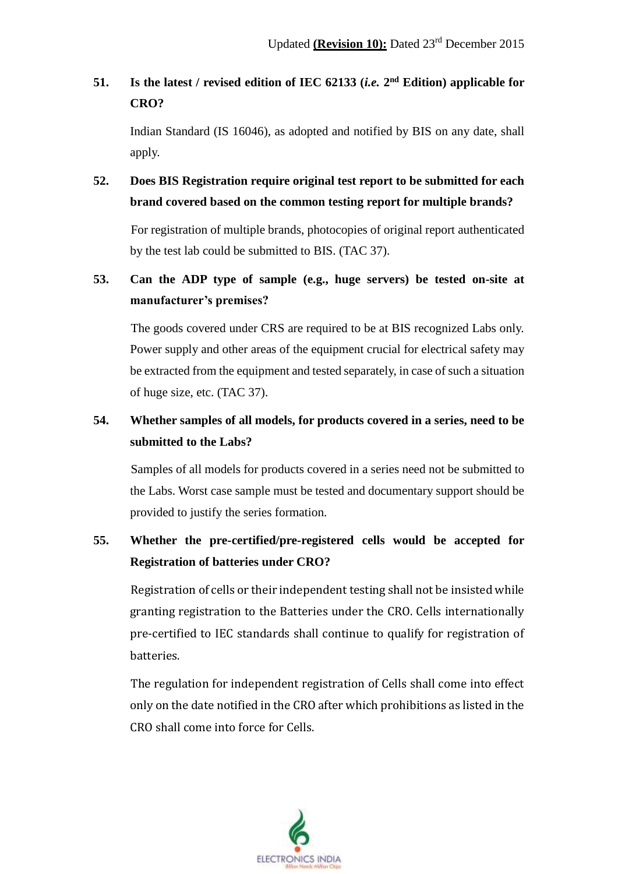## **51. Is the latest / revised edition of IEC 62133 (***i.e.* **2 nd Edition) applicable for CRO?**

Indian Standard (IS 16046), as adopted and notified by BIS on any date, shall apply.

**52. Does BIS Registration require original test report to be submitted for each brand covered based on the common testing report for multiple brands?**

For registration of multiple brands, photocopies of original report authenticated by the test lab could be submitted to BIS. (TAC 37).

## **53. Can the ADP type of sample (e.g., huge servers) be tested on-site at manufacturer's premises?**

The goods covered under CRS are required to be at BIS recognized Labs only. Power supply and other areas of the equipment crucial for electrical safety may be extracted from the equipment and tested separately, in case of such a situation of huge size, etc. (TAC 37).

## **54. Whether samples of all models, for products covered in a series, need to be submitted to the Labs?**

Samples of all models for products covered in a series need not be submitted to the Labs. Worst case sample must be tested and documentary support should be provided to justify the series formation.

## **55. Whether the pre-certified/pre-registered cells would be accepted for Registration of batteries under CRO?**

Registration of cells or their independent testing shall not be insisted while granting registration to the Batteries under the CRO. Cells internationally pre-certified to IEC standards shall continue to qualify for registration of batteries.

The regulation for independent registration of Cells shall come into effect only on the date notified in the CRO after which prohibitions as listed in the CRO shall come into force for Cells.

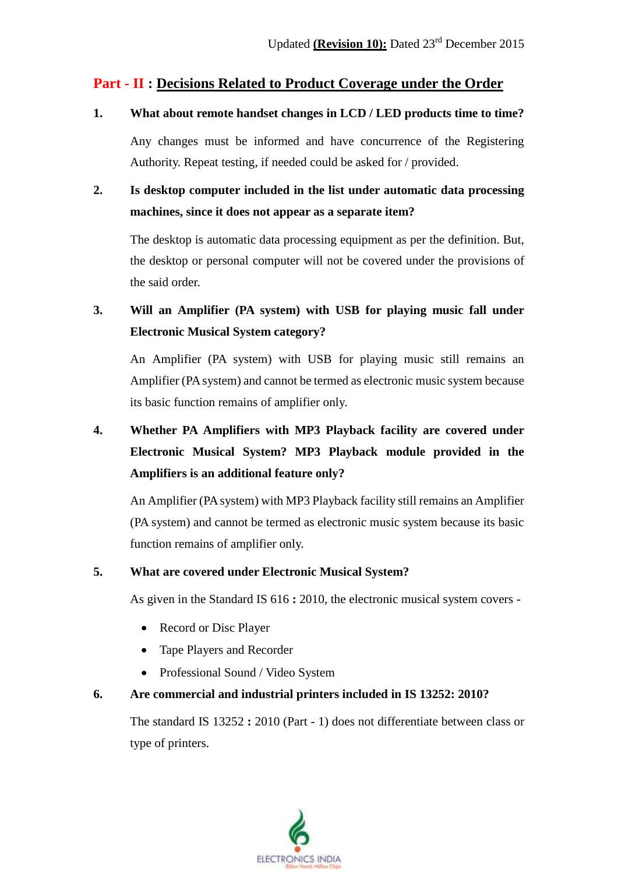#### **Part - II : Decisions Related to Product Coverage under the Order**

**1. What about remote handset changes in LCD / LED products time to time?**

Any changes must be informed and have concurrence of the Registering Authority. Repeat testing, if needed could be asked for / provided.

**2. Is desktop computer included in the list under automatic data processing machines, since it does not appear as a separate item?**

The desktop is automatic data processing equipment as per the definition. But, the desktop or personal computer will not be covered under the provisions of the said order.

**3. Will an Amplifier (PA system) with USB for playing music fall under Electronic Musical System category?**

An Amplifier (PA system) with USB for playing music still remains an Amplifier (PA system) and cannot be termed as electronic music system because its basic function remains of amplifier only.

# **4. Whether PA Amplifiers with MP3 Playback facility are covered under Electronic Musical System? MP3 Playback module provided in the Amplifiers is an additional feature only?**

An Amplifier (PA system) with MP3 Playback facility still remains an Amplifier (PA system) and cannot be termed as electronic music system because its basic function remains of amplifier only.

#### **5. What are covered under Electronic Musical System?**

As given in the Standard IS 616 **:** 2010, the electronic musical system covers -

- Record or Disc Player
- Tape Players and Recorder
- Professional Sound / Video System

#### **6. Are commercial and industrial printers included in IS 13252: 2010?**

The standard IS 13252 **:** 2010 (Part - 1) does not differentiate between class or type of printers.

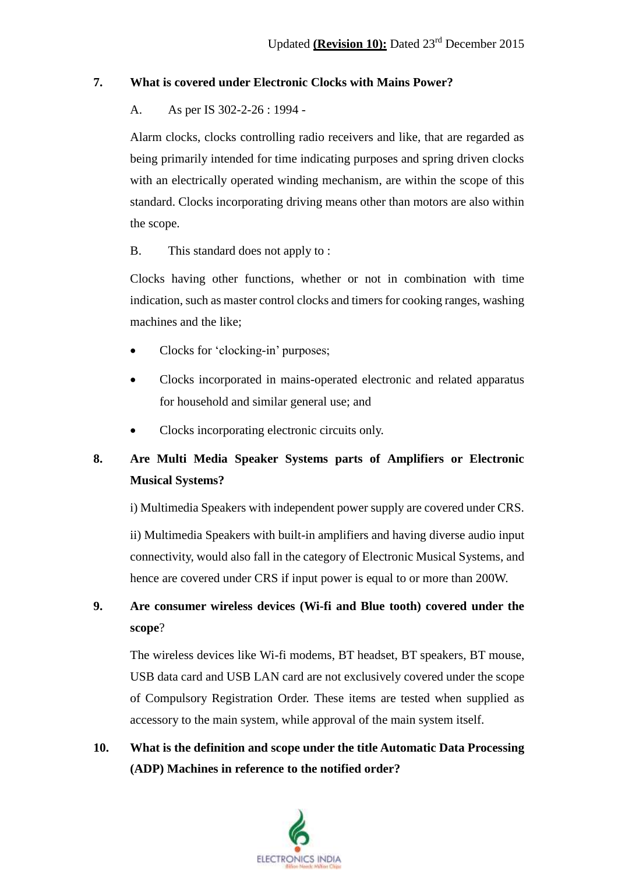#### **7. What is covered under Electronic Clocks with Mains Power?**

#### A. As per IS 302-2-26 : 1994 -

Alarm clocks, clocks controlling radio receivers and like, that are regarded as being primarily intended for time indicating purposes and spring driven clocks with an electrically operated winding mechanism, are within the scope of this standard. Clocks incorporating driving means other than motors are also within the scope.

B. This standard does not apply to :

Clocks having other functions, whether or not in combination with time indication, such as master control clocks and timers for cooking ranges, washing machines and the like;

- Clocks for 'clocking-in' purposes;
- Clocks incorporated in mains-operated electronic and related apparatus for household and similar general use; and
- Clocks incorporating electronic circuits only.

### **8. Are Multi Media Speaker Systems parts of Amplifiers or Electronic Musical Systems?**

i) Multimedia Speakers with independent power supply are covered under CRS.

ii) Multimedia Speakers with built-in amplifiers and having diverse audio input connectivity, would also fall in the category of Electronic Musical Systems, and hence are covered under CRS if input power is equal to or more than 200W.

### **9. Are consumer wireless devices (Wi-fi and Blue tooth) covered under the scope**?

The wireless devices like Wi-fi modems, BT headset, BT speakers, BT mouse, USB data card and USB LAN card are not exclusively covered under the scope of Compulsory Registration Order. These items are tested when supplied as accessory to the main system, while approval of the main system itself.

## **10. What is the definition and scope under the title Automatic Data Processing (ADP) Machines in reference to the notified order?**

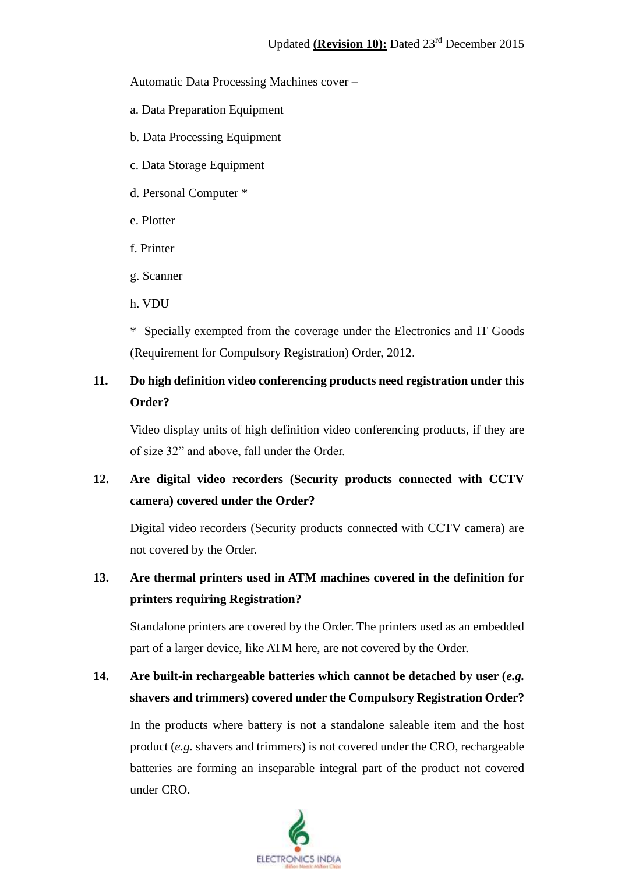Automatic Data Processing Machines cover –

- a. Data Preparation Equipment
- b. Data Processing Equipment
- c. Data Storage Equipment
- d. Personal Computer \*
- e. Plotter
- f. Printer
- g. Scanner
- h. VDU

\* Specially exempted from the coverage under the Electronics and IT Goods (Requirement for Compulsory Registration) Order, 2012.

## **11. Do high definition video conferencing products need registration under this Order?**

Video display units of high definition video conferencing products, if they are of size 32" and above, fall under the Order.

## **12. Are digital video recorders (Security products connected with CCTV camera) covered under the Order?**

Digital video recorders (Security products connected with CCTV camera) are not covered by the Order.

### **13. Are thermal printers used in ATM machines covered in the definition for printers requiring Registration?**

Standalone printers are covered by the Order. The printers used as an embedded part of a larger device, like ATM here, are not covered by the Order.

## **14. Are built-in rechargeable batteries which cannot be detached by user (***e.g.* **shavers and trimmers) covered under the Compulsory Registration Order?**

In the products where battery is not a standalone saleable item and the host product (*e.g.* shavers and trimmers) is not covered under the CRO, rechargeable batteries are forming an inseparable integral part of the product not covered under CRO.

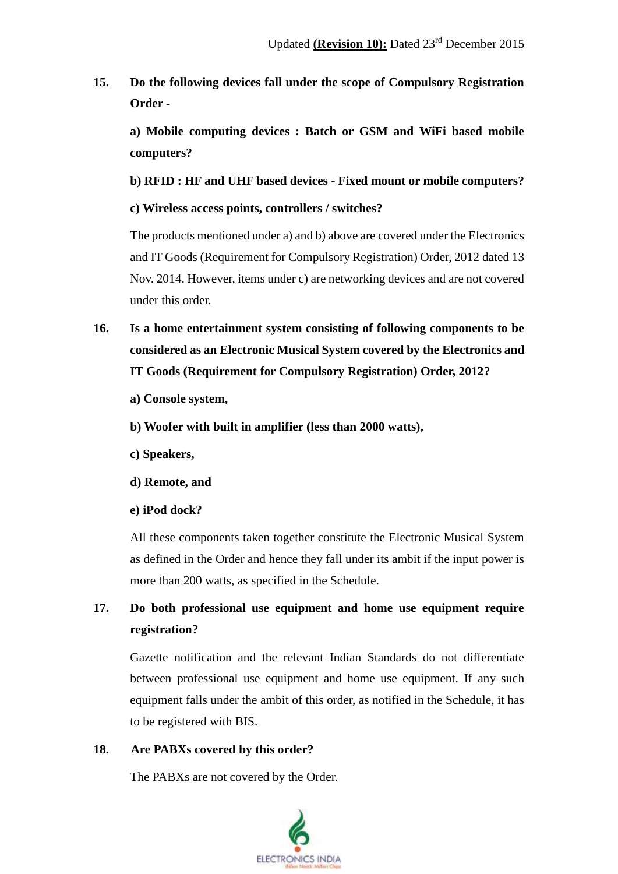**15. Do the following devices fall under the scope of Compulsory Registration Order -**

**a) Mobile computing devices : Batch or GSM and WiFi based mobile computers?**

**b) RFID : HF and UHF based devices - Fixed mount or mobile computers?**

**c) Wireless access points, controllers / switches?**

The products mentioned under a) and b) above are covered under the Electronics and IT Goods (Requirement for Compulsory Registration) Order, 2012 dated 13 Nov. 2014. However, items under c) are networking devices and are not covered under this order.

- **16. Is a home entertainment system consisting of following components to be considered as an Electronic Musical System covered by the Electronics and IT Goods (Requirement for Compulsory Registration) Order, 2012?**
	- **a) Console system,**
	- **b) Woofer with built in amplifier (less than 2000 watts),**
	- **c) Speakers,**
	- **d) Remote, and**
	- **e) iPod dock?**

All these components taken together constitute the Electronic Musical System as defined in the Order and hence they fall under its ambit if the input power is more than 200 watts, as specified in the Schedule.

### **17. Do both professional use equipment and home use equipment require registration?**

Gazette notification and the relevant Indian Standards do not differentiate between professional use equipment and home use equipment. If any such equipment falls under the ambit of this order, as notified in the Schedule, it has to be registered with BIS.

#### **18. Are PABXs covered by this order?**

The PABXs are not covered by the Order.

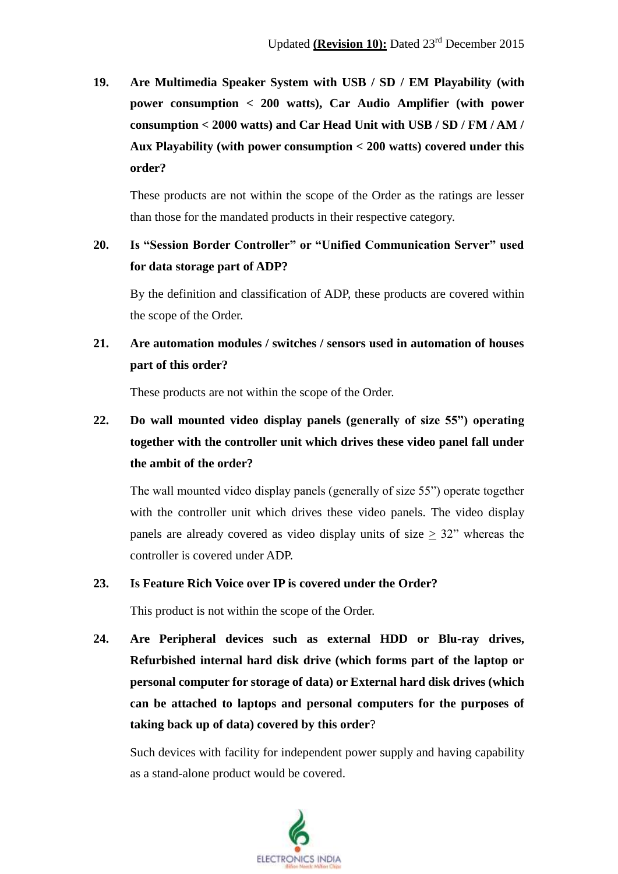**19. Are Multimedia Speaker System with USB / SD / EM Playability (with power consumption < 200 watts), Car Audio Amplifier (with power consumption < 2000 watts) and Car Head Unit with USB / SD / FM / AM / Aux Playability (with power consumption < 200 watts) covered under this order?**

These products are not within the scope of the Order as the ratings are lesser than those for the mandated products in their respective category.

## **20. Is "Session Border Controller" or "Unified Communication Server" used for data storage part of ADP?**

By the definition and classification of ADP, these products are covered within the scope of the Order.

**21. Are automation modules / switches / sensors used in automation of houses part of this order?**

These products are not within the scope of the Order.

# **22. Do wall mounted video display panels (generally of size 55") operating together with the controller unit which drives these video panel fall under the ambit of the order?**

The wall mounted video display panels (generally of size 55") operate together with the controller unit which drives these video panels. The video display panels are already covered as video display units of size  $\geq$  32" whereas the controller is covered under ADP.

#### **23. Is Feature Rich Voice over IP is covered under the Order?**

This product is not within the scope of the Order.

**24. Are Peripheral devices such as external HDD or Blu-ray drives, Refurbished internal hard disk drive (which forms part of the laptop or personal computer for storage of data) or External hard disk drives (which can be attached to laptops and personal computers for the purposes of taking back up of data) covered by this order**?

Such devices with facility for independent power supply and having capability as a stand-alone product would be covered.

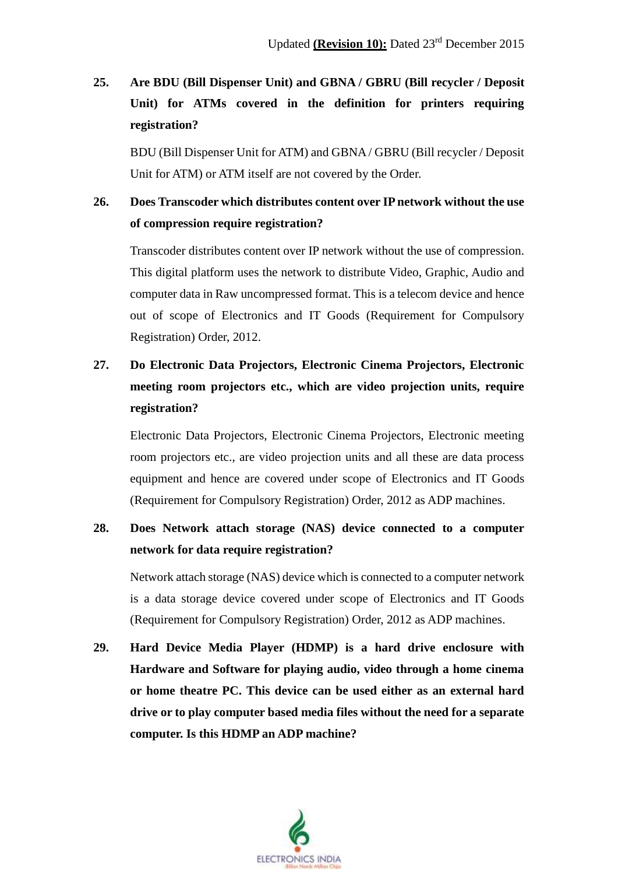## **25. Are BDU (Bill Dispenser Unit) and GBNA / GBRU (Bill recycler / Deposit Unit) for ATMs covered in the definition for printers requiring registration?**

BDU (Bill Dispenser Unit for ATM) and GBNA / GBRU (Bill recycler / Deposit Unit for ATM) or ATM itself are not covered by the Order.

### **26. Does Transcoder which distributes content over IP network without the use of compression require registration?**

Transcoder distributes content over IP network without the use of compression. This digital platform uses the network to distribute Video, Graphic, Audio and computer data in Raw uncompressed format. This is a telecom device and hence out of scope of Electronics and IT Goods (Requirement for Compulsory Registration) Order, 2012.

# **27. Do Electronic Data Projectors, Electronic Cinema Projectors, Electronic meeting room projectors etc., which are video projection units, require registration?**

Electronic Data Projectors, Electronic Cinema Projectors, Electronic meeting room projectors etc., are video projection units and all these are data process equipment and hence are covered under scope of Electronics and IT Goods (Requirement for Compulsory Registration) Order, 2012 as ADP machines.

### **28. Does Network attach storage (NAS) device connected to a computer network for data require registration?**

Network attach storage (NAS) device which is connected to a computer network is a data storage device covered under scope of Electronics and IT Goods (Requirement for Compulsory Registration) Order, 2012 as ADP machines.

**29. Hard Device Media Player (HDMP) is a hard drive enclosure with Hardware and Software for playing audio, video through a home cinema or home theatre PC. This device can be used either as an external hard drive or to play computer based media files without the need for a separate computer. Is this HDMP an ADP machine?**

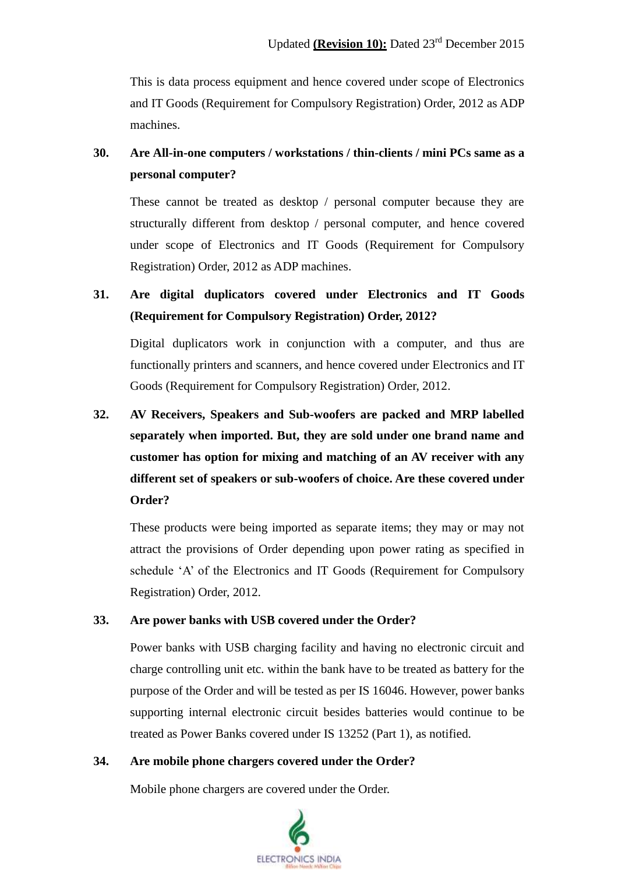This is data process equipment and hence covered under scope of Electronics and IT Goods (Requirement for Compulsory Registration) Order, 2012 as ADP machines.

### **30. Are All-in-one computers / workstations / thin-clients / mini PCs same as a personal computer?**

These cannot be treated as desktop / personal computer because they are structurally different from desktop / personal computer, and hence covered under scope of Electronics and IT Goods (Requirement for Compulsory Registration) Order, 2012 as ADP machines.

## **31. Are digital duplicators covered under Electronics and IT Goods (Requirement for Compulsory Registration) Order, 2012?**

Digital duplicators work in conjunction with a computer, and thus are functionally printers and scanners, and hence covered under Electronics and IT Goods (Requirement for Compulsory Registration) Order, 2012.

**32. AV Receivers, Speakers and Sub-woofers are packed and MRP labelled separately when imported. But, they are sold under one brand name and customer has option for mixing and matching of an AV receiver with any different set of speakers or sub-woofers of choice. Are these covered under Order?**

These products were being imported as separate items; they may or may not attract the provisions of Order depending upon power rating as specified in schedule 'A' of the Electronics and IT Goods (Requirement for Compulsory Registration) Order, 2012.

#### **33. Are power banks with USB covered under the Order?**

Power banks with USB charging facility and having no electronic circuit and charge controlling unit etc. within the bank have to be treated as battery for the purpose of the Order and will be tested as per IS 16046. However, power banks supporting internal electronic circuit besides batteries would continue to be treated as Power Banks covered under IS 13252 (Part 1), as notified.

#### **34. Are mobile phone chargers covered under the Order?**

Mobile phone chargers are covered under the Order.

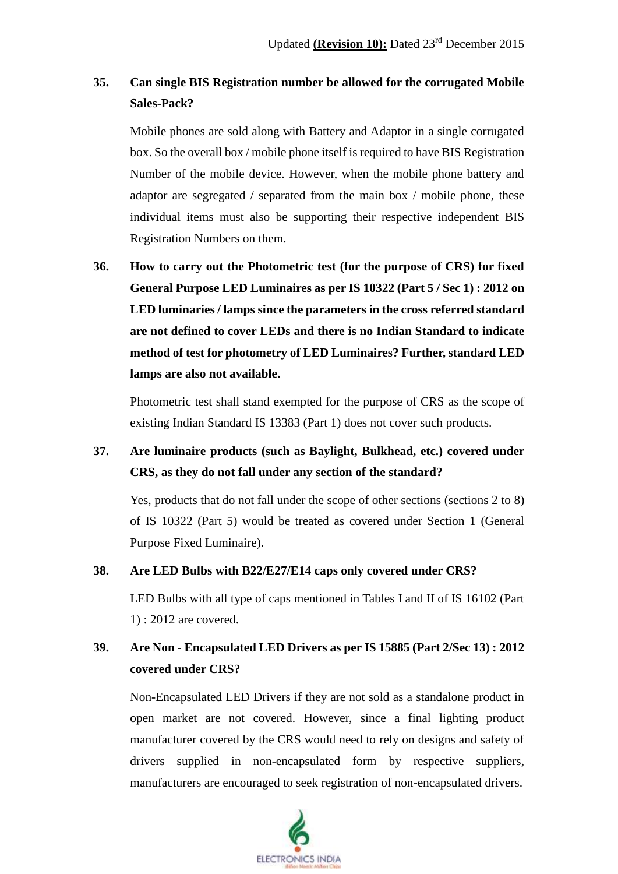### **35. Can single BIS Registration number be allowed for the corrugated Mobile Sales-Pack?**

Mobile phones are sold along with Battery and Adaptor in a single corrugated box. So the overall box / mobile phone itself is required to have BIS Registration Number of the mobile device. However, when the mobile phone battery and adaptor are segregated / separated from the main box / mobile phone, these individual items must also be supporting their respective independent BIS Registration Numbers on them.

**36. How to carry out the Photometric test (for the purpose of CRS) for fixed General Purpose LED Luminaires as per IS 10322 (Part 5 / Sec 1) : 2012 on LED luminaries / lamps since the parameters in the cross referred standard are not defined to cover LEDs and there is no Indian Standard to indicate method of test for photometry of LED Luminaires? Further, standard LED lamps are also not available.**

Photometric test shall stand exempted for the purpose of CRS as the scope of existing Indian Standard IS 13383 (Part 1) does not cover such products.

### **37. Are luminaire products (such as Baylight, Bulkhead, etc.) covered under CRS, as they do not fall under any section of the standard?**

Yes, products that do not fall under the scope of other sections (sections 2 to 8) of IS 10322 (Part 5) would be treated as covered under Section 1 (General Purpose Fixed Luminaire).

#### **38. Are LED Bulbs with B22/E27/E14 caps only covered under CRS?**

LED Bulbs with all type of caps mentioned in Tables I and II of IS 16102 (Part 1) : 2012 are covered.

### **39. Are Non - Encapsulated LED Drivers as per IS 15885 (Part 2/Sec 13) : 2012 covered under CRS?**

Non-Encapsulated LED Drivers if they are not sold as a standalone product in open market are not covered. However, since a final lighting product manufacturer covered by the CRS would need to rely on designs and safety of drivers supplied in non-encapsulated form by respective suppliers, manufacturers are encouraged to seek registration of non-encapsulated drivers.

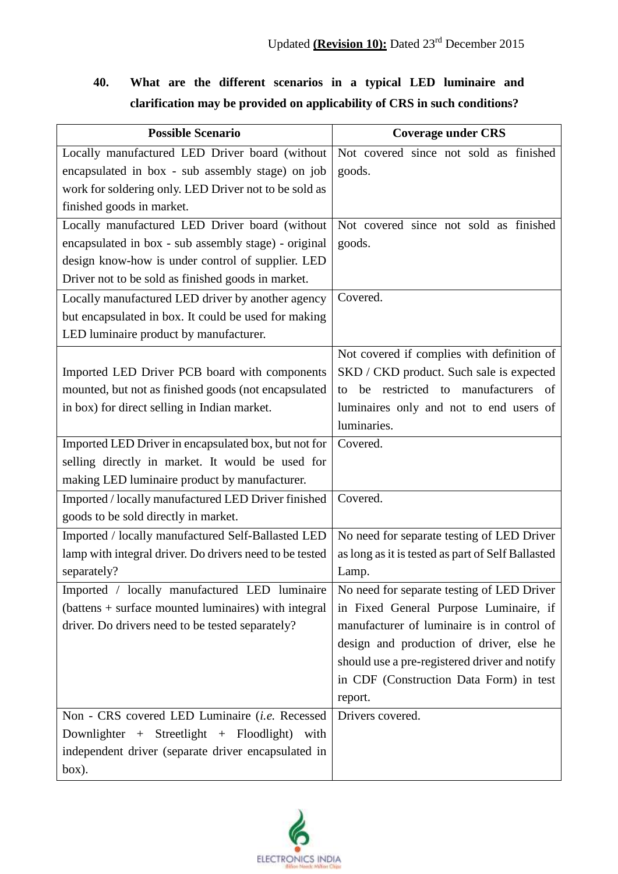# **40. What are the different scenarios in a typical LED luminaire and clarification may be provided on applicability of CRS in such conditions?**

| <b>Possible Scenario</b>                                | <b>Coverage under CRS</b>                         |
|---------------------------------------------------------|---------------------------------------------------|
| Locally manufactured LED Driver board (without          | Not covered since not sold as finished            |
| encapsulated in box - sub assembly stage) on job        | goods.                                            |
| work for soldering only. LED Driver not to be sold as   |                                                   |
| finished goods in market.                               |                                                   |
| Locally manufactured LED Driver board (without          | Not covered since not sold as finished            |
| encapsulated in box - sub assembly stage) - original    | goods.                                            |
| design know-how is under control of supplier. LED       |                                                   |
| Driver not to be sold as finished goods in market.      |                                                   |
| Locally manufactured LED driver by another agency       | Covered.                                          |
| but encapsulated in box. It could be used for making    |                                                   |
| LED luminaire product by manufacturer.                  |                                                   |
|                                                         | Not covered if complies with definition of        |
| Imported LED Driver PCB board with components           | SKD / CKD product. Such sale is expected          |
| mounted, but not as finished goods (not encapsulated    | be restricted to manufacturers<br>of<br>to        |
| in box) for direct selling in Indian market.            | luminaires only and not to end users of           |
|                                                         | luminaries.                                       |
| Imported LED Driver in encapsulated box, but not for    | Covered.                                          |
| selling directly in market. It would be used for        |                                                   |
| making LED luminaire product by manufacturer.           |                                                   |
| Imported / locally manufactured LED Driver finished     | Covered.                                          |
| goods to be sold directly in market.                    |                                                   |
| Imported / locally manufactured Self-Ballasted LED      | No need for separate testing of LED Driver        |
| lamp with integral driver. Do drivers need to be tested | as long as it is tested as part of Self Ballasted |
| separately?                                             | Lamp.                                             |
| Imported / locally manufactured LED luminaire           | No need for separate testing of LED Driver        |
| (battens + surface mounted luminaires) with integral    | in Fixed General Purpose Luminaire, if            |
| driver. Do drivers need to be tested separately?        | manufacturer of luminaire is in control of        |
|                                                         | design and production of driver, else he          |
|                                                         | should use a pre-registered driver and notify     |
|                                                         | in CDF (Construction Data Form) in test           |
|                                                         | report.                                           |
| Non - CRS covered LED Luminaire (i.e. Recessed          | Drivers covered.                                  |
| Downlighter + Streetlight + Floodlight) with            |                                                   |
| independent driver (separate driver encapsulated in     |                                                   |
| box).                                                   |                                                   |

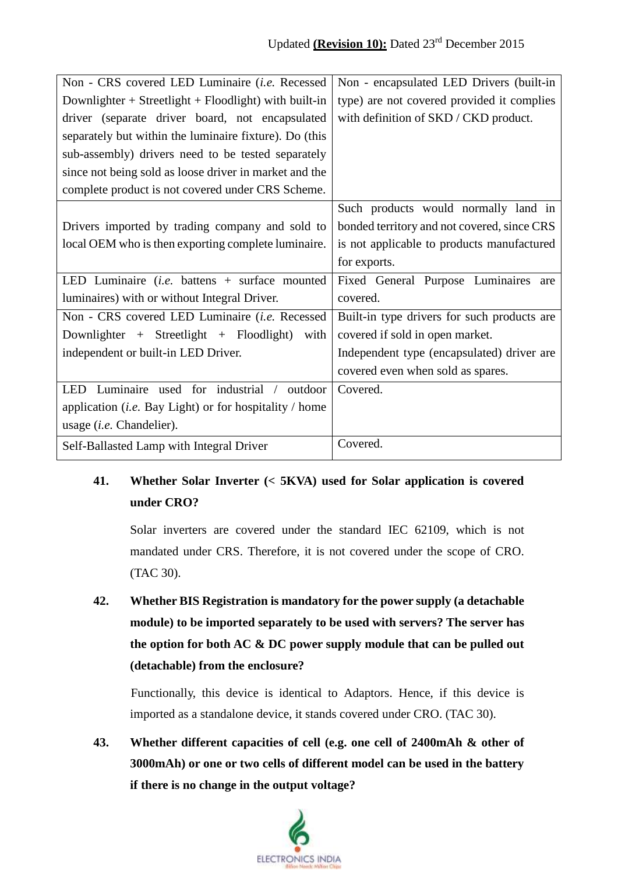| Non - CRS covered LED Luminaire (i.e. Recessed                 | Non - encapsulated LED Drivers (built-in    |
|----------------------------------------------------------------|---------------------------------------------|
| Downlighter + Streetlight + Floodlight) with built-in          | type) are not covered provided it complies  |
| driver (separate driver board, not encapsulated                | with definition of SKD / CKD product.       |
| separately but within the luminaire fixture). Do (this         |                                             |
| sub-assembly) drivers need to be tested separately             |                                             |
| since not being sold as loose driver in market and the         |                                             |
| complete product is not covered under CRS Scheme.              |                                             |
|                                                                | Such products would normally land in        |
| Drivers imported by trading company and sold to                | bonded territory and not covered, since CRS |
| local OEM who is then exporting complete luminaire.            | is not applicable to products manufactured  |
|                                                                | for exports.                                |
| LED Luminaire ( <i>i.e.</i> battens $+$ surface mounted        | Fixed General Purpose Luminaires are        |
| luminaires) with or without Integral Driver.                   | covered.                                    |
| Non - CRS covered LED Luminaire (i.e. Recessed                 | Built-in type drivers for such products are |
| Downlighter + Streetlight + Floodlight)<br>with                | covered if sold in open market.             |
| independent or built-in LED Driver.                            | Independent type (encapsulated) driver are  |
|                                                                | covered even when sold as spares.           |
| Luminaire used for industrial / outdoor<br><b>LED</b>          | Covered.                                    |
| application ( <i>i.e.</i> Bay Light) or for hospitality / home |                                             |
| usage $(i.e.$ Chandelier).                                     |                                             |
| Self-Ballasted Lamp with Integral Driver                       | Covered.                                    |

## **41. Whether Solar Inverter (< 5KVA) used for Solar application is covered under CRO?**

Solar inverters are covered under the standard IEC 62109, which is not mandated under CRS. Therefore, it is not covered under the scope of CRO. (TAC 30).

**42. Whether BIS Registration is mandatory for the power supply (a detachable module) to be imported separately to be used with servers? The server has the option for both AC & DC power supply module that can be pulled out (detachable) from the enclosure?**

Functionally, this device is identical to Adaptors. Hence, if this device is imported as a standalone device, it stands covered under CRO. (TAC 30).

**43. Whether different capacities of cell (e.g. one cell of 2400mAh & other of 3000mAh) or one or two cells of different model can be used in the battery if there is no change in the output voltage?**